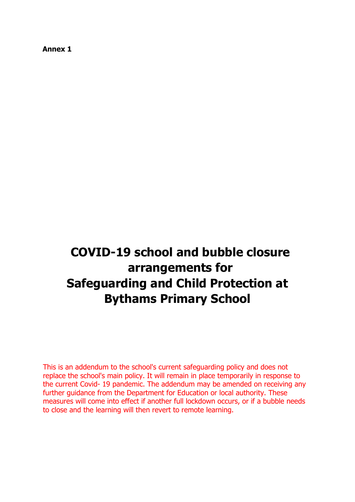**Annex 1** 

# **COVID-19 school and bubble closure arrangements for Safeguarding and Child Protection at Bythams Primary School**

This is an addendum to the school's current safeguarding policy and does not replace the school's main policy. It will remain in place temporarily in response to the current Covid- 19 pandemic. The addendum may be amended on receiving any further guidance from the Department for Education or local authority. These measures will come into effect if another full lockdown occurs, or if a bubble needs to close and the learning will then revert to remote learning.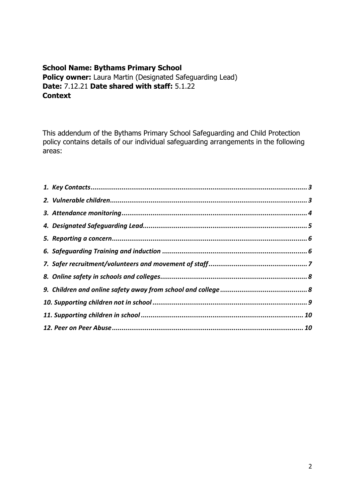#### **School Name: Bythams Primary School Policy owner:** Laura Martin (Designated Safeguarding Lead) **Date:** 7.12.21 **Date shared with staff:** 5.1.22 **Context**

This addendum of the Bythams Primary School Safeguarding and Child Protection policy contains details of our individual safeguarding arrangements in the following areas: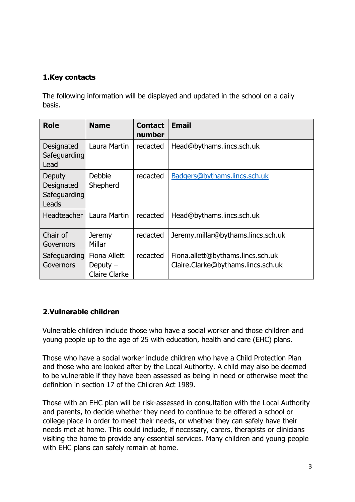### <span id="page-2-0"></span>**1.Key contacts**

The following information will be displayed and updated in the school on a daily basis.

| Role                                          | <b>Name</b>                                        | <b>Contact</b><br>number | <b>Email</b>                                                            |
|-----------------------------------------------|----------------------------------------------------|--------------------------|-------------------------------------------------------------------------|
| Designated<br>Safeguarding<br>Lead            | Laura Martin                                       | redacted                 | Head@bythams.lincs.sch.uk                                               |
| Deputy<br>Designated<br>Safeguarding<br>Leads | Debbie<br>Shepherd                                 | redacted                 | Badgers@bythams.lincs.sch.uk                                            |
| <b>Headteacher</b>                            | Laura Martin                                       | redacted                 | Head@bythams.lincs.sch.uk                                               |
| Chair of<br>Governors                         | <b>Jeremy</b><br>Millar                            | redacted                 | Jeremy.millar@bythams.lincs.sch.uk                                      |
| Safeguarding<br>Governors                     | Fiona Allett<br>Deputy $-$<br><b>Claire Clarke</b> | redacted                 | Fiona.allett@bythams.lincs.sch.uk<br>Claire.Clarke@bythams.lincs.sch.uk |

#### <span id="page-2-1"></span>**2.Vulnerable children**

Vulnerable children include those who have a social worker and those children and young people up to the age of 25 with education, health and care (EHC) plans.

Those who have a social worker include children who have a Child Protection Plan and those who are looked after by the Local Authority. A child may also be deemed to be vulnerable if they have been assessed as being in need or otherwise meet the definition in section 17 of the Children Act 1989.

Those with an EHC plan will be risk-assessed in consultation with the Local Authority and parents, to decide whether they need to continue to be offered a school or college place in order to meet their needs, or whether they can safely have their needs met at home. This could include, if necessary, carers, therapists or clinicians visiting the home to provide any essential services. Many children and young people with EHC plans can safely remain at home.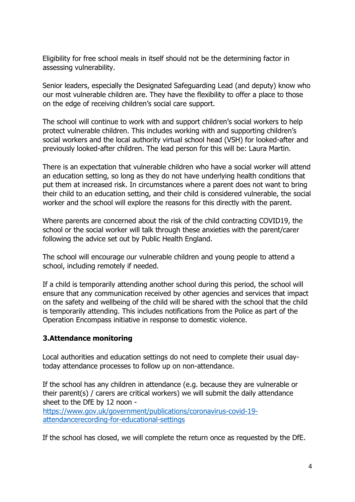Eligibility for free school meals in itself should not be the determining factor in assessing vulnerability.

Senior leaders, especially the Designated Safeguarding Lead (and deputy) know who our most vulnerable children are. They have the flexibility to offer a place to those on the edge of receiving children's social care support.

The school will continue to work with and support children's social workers to help protect vulnerable children. This includes working with and supporting children's social workers and the local authority virtual school head (VSH) for looked-after and previously looked-after children. The lead person for this will be: Laura Martin.

There is an expectation that vulnerable children who have a social worker will attend an education setting, so long as they do not have underlying health conditions that put them at increased risk. In circumstances where a parent does not want to bring their child to an education setting, and their child is considered vulnerable, the social worker and the school will explore the reasons for this directly with the parent.

Where parents are concerned about the risk of the child contracting COVID19, the school or the social worker will talk through these anxieties with the parent/carer following the advice set out by Public Health England.

The school will encourage our vulnerable children and young people to attend a school, including remotely if needed.

If a child is temporarily attending another school during this period, the school will ensure that any communication received by other agencies and services that impact on the safety and wellbeing of the child will be shared with the school that the child is temporarily attending. This includes notifications from the Police as part of the Operation Encompass initiative in response to domestic violence.

#### <span id="page-3-0"></span>**3.Attendance monitoring**

Local authorities and education settings do not need to complete their usual daytoday attendance processes to follow up on non-attendance.

If the school has any children in attendance (e.g. because they are vulnerable or their parent(s) / carers are critical workers) we will submit the daily attendance sheet to the DfE by 12 noon -

[https://www.gov.uk/government/publications/coronavirus-covid-19](https://www.gov.uk/government/publications/coronavirus-covid-19-attendance-recording-for-educational-settings) [attendancerecording-for-educational-settings](https://www.gov.uk/government/publications/coronavirus-covid-19-attendance-recording-for-educational-settings)

If the school has closed, we will complete the return once as requested by the DfE.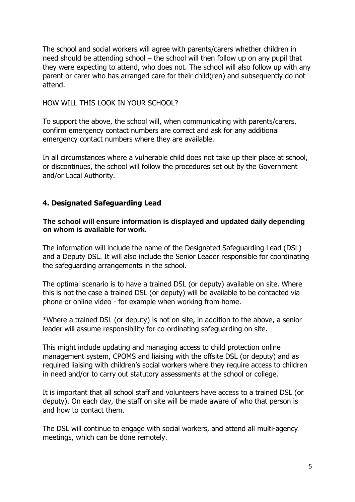The school and social workers will agree with parents/carers whether children in need should be attending school – the school will then follow up on any pupil that they were expecting to attend, who does not. The school will also follow up with any parent or carer who has arranged care for their child(ren) and subsequently do not attend.

HOW WILL THIS LOOK IN YOUR SCHOOL?

To support the above, the school will, when communicating with parents/carers, confirm emergency contact numbers are correct and ask for any additional emergency contact numbers where they are available.

In all circumstances where a vulnerable child does not take up their place at school, or discontinues, the school will follow the procedures set out by the Government and/or Local Authority.

### <span id="page-4-0"></span>**4. Designated Safeguarding Lead**

#### **The school will ensure information is displayed and updated daily depending on whom is available for work.**

The information will include the name of the Designated Safeguarding Lead (DSL) and a Deputy DSL. It will also include the Senior Leader responsible for coordinating the safeguarding arrangements in the school.

The optimal scenario is to have a trained DSL (or deputy) available on site. Where this is not the case a trained DSL (or deputy) will be available to be contacted via phone or online video - for example when working from home.

\*Where a trained DSL (or deputy) is not on site, in addition to the above, a senior leader will assume responsibility for co-ordinating safeguarding on site.

This might include updating and managing access to child protection online management system, CPOMS and liaising with the offsite DSL (or deputy) and as required liaising with children's social workers where they require access to children in need and/or to carry out statutory assessments at the school or college.

It is important that all school staff and volunteers have access to a trained DSL (or deputy). On each day, the staff on site will be made aware of who that person is and how to contact them.

The DSL will continue to engage with social workers, and attend all multi-agency meetings, which can be done remotely.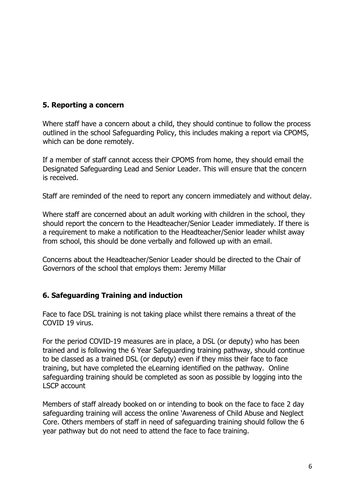#### <span id="page-5-0"></span>**5. Reporting a concern**

Where staff have a concern about a child, they should continue to follow the process outlined in the school Safeguarding Policy, this includes making a report via CPOMS, which can be done remotely.

If a member of staff cannot access their CPOMS from home, they should email the Designated Safeguarding Lead and Senior Leader. This will ensure that the concern is received.

Staff are reminded of the need to report any concern immediately and without delay.

Where staff are concerned about an adult working with children in the school, they should report the concern to the Headteacher/Senior Leader immediately. If there is a requirement to make a notification to the Headteacher/Senior leader whilst away from school, this should be done verbally and followed up with an email.

Concerns about the Headteacher/Senior Leader should be directed to the Chair of Governors of the school that employs them: Jeremy Millar

#### <span id="page-5-1"></span>**6. Safeguarding Training and induction**

Face to face DSL training is not taking place whilst there remains a threat of the COVID 19 virus.

For the period COVID-19 measures are in place, a DSL (or deputy) who has been trained and is following the 6 Year Safeguarding training pathway, should continue to be classed as a trained DSL (or deputy) even if they miss their face to face training, but have completed the eLearning identified on the pathway. Online safeguarding training should be completed as soon as possible by logging into the LSCP account

Members of staff already booked on or intending to book on the face to face 2 day safeguarding training will access the online 'Awareness of Child Abuse and Neglect Core. Others members of staff in need of safeguarding training should follow the 6 year pathway but do not need to attend the face to face training.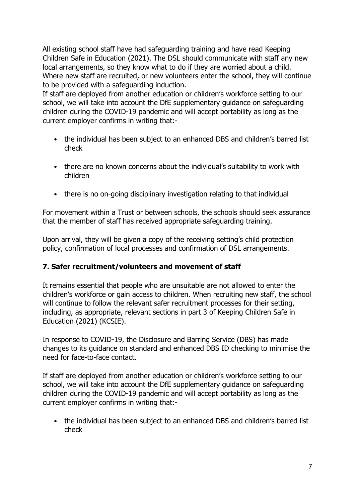All existing school staff have had safeguarding training and have read Keeping Children Safe in Education (2021). The DSL should communicate with staff any new local arrangements, so they know what to do if they are worried about a child. Where new staff are recruited, or new volunteers enter the school, they will continue to be provided with a safeguarding induction.

If staff are deployed from another education or children's workforce setting to our school, we will take into account the DfE supplementary guidance on safeguarding children during the COVID-19 pandemic and will accept portability as long as the current employer confirms in writing that:-

- the individual has been subject to an enhanced DBS and children's barred list check
- there are no known concerns about the individual's suitability to work with children
- there is no on-going disciplinary investigation relating to that individual

For movement within a Trust or between schools, the schools should seek assurance that the member of staff has received appropriate safeguarding training.

Upon arrival, they will be given a copy of the receiving setting's child protection policy, confirmation of local processes and confirmation of DSL arrangements.

## <span id="page-6-0"></span>**7. Safer recruitment/volunteers and movement of staff**

It remains essential that people who are unsuitable are not allowed to enter the children's workforce or gain access to children. When recruiting new staff, the school will continue to follow the relevant safer recruitment processes for their setting, including, as appropriate, relevant sections in part 3 of Keeping Children Safe in Education (2021) (KCSIE).

In response to COVID-19, the Disclosure and Barring Service (DBS) has made changes to its guidance on standard and enhanced DBS ID checking to minimise the need for face-to-face contact.

If staff are deployed from another education or children's workforce setting to our school, we will take into account the DfE supplementary guidance on safeguarding children during the COVID-19 pandemic and will accept portability as long as the current employer confirms in writing that:-

• the individual has been subject to an enhanced DBS and children's barred list check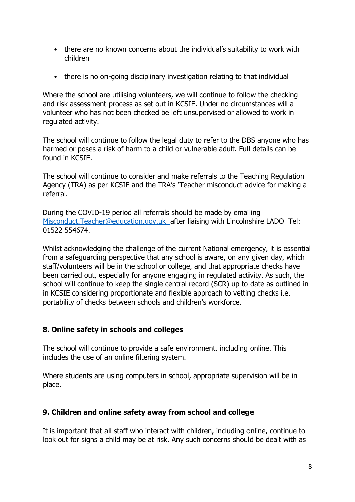- there are no known concerns about the individual's suitability to work with children
- there is no on-going disciplinary investigation relating to that individual

Where the school are utilising volunteers, we will continue to follow the checking and risk assessment process as set out in KCSIE. Under no circumstances will a volunteer who has not been checked be left unsupervised or allowed to work in regulated activity.

The school will continue to follow the legal duty to refer to the DBS anyone who has harmed or poses a risk of harm to a child or vulnerable adult. Full details can be found in KCSIE.

The school will continue to consider and make referrals to the Teaching Regulation Agency (TRA) as per KCSIE and the TRA's 'Teacher misconduct advice for making a referral.

During the COVID-19 period all referrals should be made by emailing Misconduct.Teacher@education.gov.uk after liaising with Lincolnshire LADO Tel: 01522 554674.

Whilst acknowledging the challenge of the current National emergency, it is essential from a safeguarding perspective that any school is aware, on any given day, which staff/volunteers will be in the school or college, and that appropriate checks have been carried out, especially for anyone engaging in regulated activity. As such, the school will continue to keep the single central record (SCR) up to date as outlined in in KCSIE considering proportionate and flexible approach to vetting checks i.e. portability of checks between schools and children's workforce.

#### <span id="page-7-0"></span>**8. Online safety in schools and colleges**

The school will continue to provide a safe environment, including online. This includes the use of an online filtering system.

Where students are using computers in school, appropriate supervision will be in place.

#### <span id="page-7-1"></span>**9. Children and online safety away from school and college**

It is important that all staff who interact with children, including online, continue to look out for signs a child may be at risk. Any such concerns should be dealt with as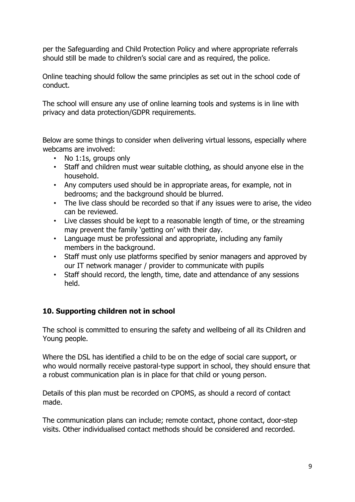per the Safeguarding and Child Protection Policy and where appropriate referrals should still be made to children's social care and as required, the police.

Online teaching should follow the same principles as set out in the school code of conduct.

The school will ensure any use of online learning tools and systems is in line with privacy and data protection/GDPR requirements.

Below are some things to consider when delivering virtual lessons, especially where webcams are involved:

- No 1:1s, groups only
- Staff and children must wear suitable clothing, as should anyone else in the household.
- Any computers used should be in appropriate areas, for example, not in bedrooms; and the background should be blurred.
- The live class should be recorded so that if any issues were to arise, the video can be reviewed.
- Live classes should be kept to a reasonable length of time, or the streaming may prevent the family 'getting on' with their day.
- Language must be professional and appropriate, including any family members in the background.
- Staff must only use platforms specified by senior managers and approved by our IT network manager / provider to communicate with pupils
- Staff should record, the length, time, date and attendance of any sessions held.

## <span id="page-8-0"></span>**10. Supporting children not in school**

The school is committed to ensuring the safety and wellbeing of all its Children and Young people.

Where the DSL has identified a child to be on the edge of social care support, or who would normally receive pastoral-type support in school, they should ensure that a robust communication plan is in place for that child or young person.

Details of this plan must be recorded on CPOMS, as should a record of contact made.

The communication plans can include; remote contact, phone contact, door-step visits. Other individualised contact methods should be considered and recorded.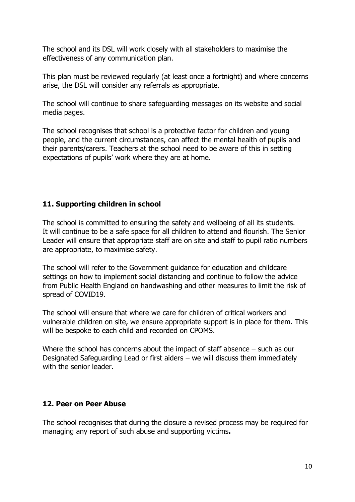The school and its DSL will work closely with all stakeholders to maximise the effectiveness of any communication plan.

This plan must be reviewed regularly (at least once a fortnight) and where concerns arise, the DSL will consider any referrals as appropriate.

The school will continue to share safeguarding messages on its website and social media pages.

The school recognises that school is a protective factor for children and young people, and the current circumstances, can affect the mental health of pupils and their parents/carers. Teachers at the school need to be aware of this in setting expectations of pupils' work where they are at home.

### <span id="page-9-0"></span>**11. Supporting children in school**

The school is committed to ensuring the safety and wellbeing of all its students. It will continue to be a safe space for all children to attend and flourish. The Senior Leader will ensure that appropriate staff are on site and staff to pupil ratio numbers are appropriate, to maximise safety.

The school will refer to the Government guidance for education and childcare settings on how to implement social distancing and continue to follow the advice from Public Health England on handwashing and other measures to limit the risk of spread of COVID19.

The school will ensure that where we care for children of critical workers and vulnerable children on site, we ensure appropriate support is in place for them. This will be bespoke to each child and recorded on CPOMS.

Where the school has concerns about the impact of staff absence – such as our Designated Safeguarding Lead or first aiders – we will discuss them immediately with the senior leader.

#### <span id="page-9-1"></span>**12. Peer on Peer Abuse**

The school recognises that during the closure a revised process may be required for managing any report of such abuse and supporting victims**.**